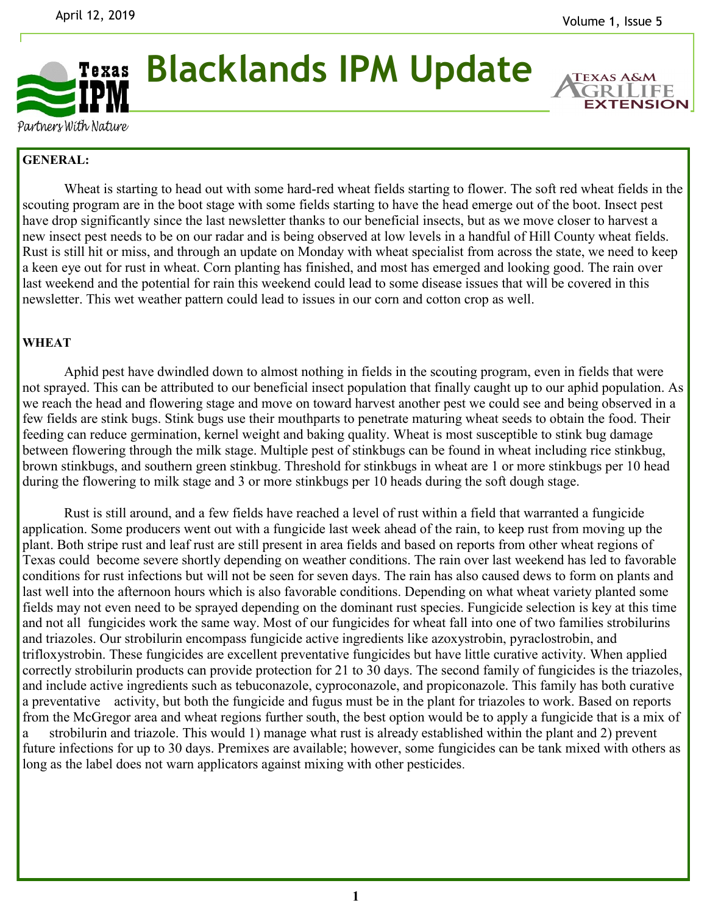

# **Blacklands IPM Update**

**EXTENSION** 

Partners With Nature

### **GENERAL:**

Wheat is starting to head out with some hard-red wheat fields starting to flower. The soft red wheat fields in the scouting program are in the boot stage with some fields starting to have the head emerge out of the boot. Insect pest have drop significantly since the last newsletter thanks to our beneficial insects, but as we move closer to harvest a new insect pest needs to be on our radar and is being observed at low levels in a handful of Hill County wheat fields. Rust is still hit or miss, and through an update on Monday with wheat specialist from across the state, we need to keep a keen eye out for rust in wheat. Corn planting has finished, and most has emerged and looking good. The rain over last weekend and the potential for rain this weekend could lead to some disease issues that will be covered in this newsletter. This wet weather pattern could lead to issues in our corn and cotton crop as well.

## **WHEAT**

Aphid pest have dwindled down to almost nothing in fields in the scouting program, even in fields that were not sprayed. This can be attributed to our beneficial insect population that finally caught up to our aphid population. As we reach the head and flowering stage and move on toward harvest another pest we could see and being observed in a few fields are stink bugs. Stink bugs use their mouthparts to penetrate maturing wheat seeds to obtain the food. Their feeding can reduce germination, kernel weight and baking quality. Wheat is most susceptible to stink bug damage between flowering through the milk stage. Multiple pest of stinkbugs can be found in wheat including rice stinkbug, brown stinkbugs, and southern green stinkbug. Threshold for stinkbugs in wheat are 1 or more stinkbugs per 10 head during the flowering to milk stage and 3 or more stinkbugs per 10 heads during the soft dough stage.

Rust is still around, and a few fields have reached a level of rust within a field that warranted a fungicide application. Some producers went out with a fungicide last week ahead of the rain, to keep rust from moving up the plant. Both stripe rust and leaf rust are still present in area fields and based on reports from other wheat regions of Texas could become severe shortly depending on weather conditions. The rain over last weekend has led to favorable conditions for rust infections but will not be seen for seven days. The rain has also caused dews to form on plants and last well into the afternoon hours which is also favorable conditions. Depending on what wheat variety planted some fields may not even need to be sprayed depending on the dominant rust species. Fungicide selection is key at this time and not all fungicides work the same way. Most of our fungicides for wheat fall into one of two families strobilurins and triazoles. Our strobilurin encompass fungicide active ingredients like azoxystrobin, pyraclostrobin, and trifloxystrobin. These fungicides are excellent preventative fungicides but have little curative activity. When applied correctly strobilurin products can provide protection for 21 to 30 days. The second family of fungicides is the triazoles, and include active ingredients such as tebuconazole, cyproconazole, and propiconazole. This family has both curative a preventative activity, but both the fungicide and fugus must be in the plant for triazoles to work. Based on reports from the McGregor area and wheat regions further south, the best option would be to apply a fungicide that is a mix of a strobilurin and triazole. This would 1) manage what rust is already established within the plant and 2) prevent future infections for up to 30 days. Premixes are available; however, some fungicides can be tank mixed with others as long as the label does not warn applicators against mixing with other pesticides.